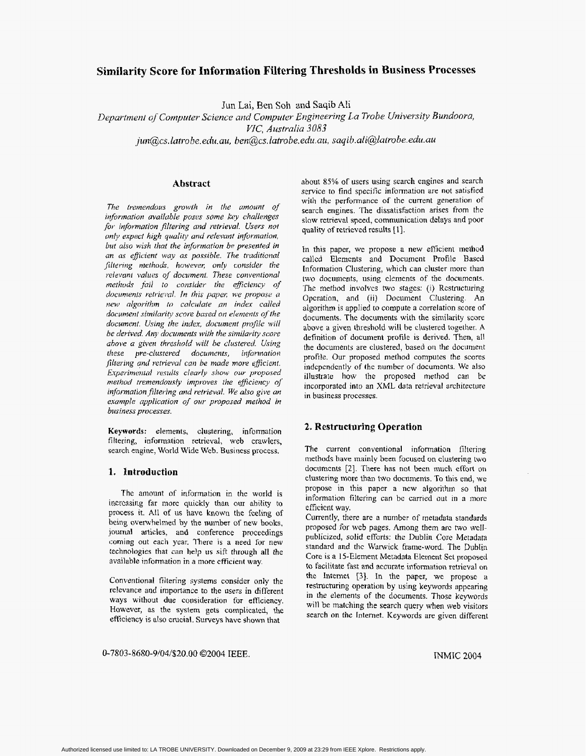# **Similarity Score for Information Filtering Thresholds in Business Processes**

Jun Lai, Ben Soh and Saqib Ali

Department of Computer Science and Computer Engineering La Trobe University Bundoora, VIC, Australia 3083

jun@cs.latrobe.edu.au, ben@cs.latrobe.edu.au, saqib.ali@latrobe.edu.au

### Abstract

The tremendous growth in the amount of information available poses some key challenges for information filtering and retrieval. Users not only expect high quality and relevant information, but also wish that the information be presented in an as efficient way as possible. The traditional filtering methods, however, only consider the relevant values of document. These conventional methods fail to consider the efficiency of documents retrieval. In this paper, we propose a new algorithm to calculate an index called document similarity score based on elements of the document. Using the index, document profile will be derived. Any documents with the similarity score above a given threshold will be clustered. Using these pre-clustered documents, information filtering and retrieval can be made more efficient. Experimental results clearly show our proposed method tremendously improves the efficiency of information filtering and retrieval. We also give an example application of our proposed method in business processes.

Keywords: elements, clustering, information filtering, information retrieval, web crawlers, search engine, World Wide Web. Business process.

## 1. Introduction

The amount of information in the world is increasing far more quickly than our ability to process it. All of us have known the feeling of being overwhelmed by the number of new books, journal articles, and conference proceedings coming out each year. There is a need for new technologies that can help us sift through all the available information in a more efficient way.

Conventional filtering systems consider only the relevance and importance to the users in different ways without due consideration for efficiency. However, as the system gets complicated, the efficiency is also crucial. Surveys have shown that

about 85% of users using search engines and search service to find specific information are not satisfied with the performance of the current generation of search engines. The dissatisfaction arises from the slow retrieval speed, communication delays and poor quality of retrieved results [1].

In this paper, we propose a new efficient method called Elements and Document Profile Based Information Clustering, which can cluster more than two documents, using elements of the documents. The method involves two stages: (i) Restructuring Operation, and (ii) Document Clustering. An algorithm is applied to compute a correlation score of documents. The documents with the similarity score above a given threshold will be clustered together. A definition of document profile is derived. Then, all the documents are clustered, based on the document profile. Our proposed method computes the scores independently of the number of documents. We also illustrate how the proposed method can be incorporated into an XML data retrieval architecture in business processes.

### 2. Restructuring Operation

The current conventional information filtering methods have mainly been focused on clustering two documents [2]. There has not been much effort on clustering more than two documents. To this end, we propose in this paper a new algorithm so that information filtering can be carried out in a more efficient way.

Currently, there are a number of metadata standards proposed for web pages. Among them are two wellpublicized, solid efforts: the Dublin Core Metadata standard and the Warwick frame-word. The Dublin Core is a 15-Element Metadata Element Set proposed to facilitate fast and accurate information retrieval on the Internet [3]. In the paper, we propose a restructuring operation by using keywords appearing in the elements of the documents. Those keywords will be matching the search query when web visitors search on the Internet. Keywords are given different

0-7803-8680-9/04/\$20.00 ©2004 IEEE.

**INMIC 2004**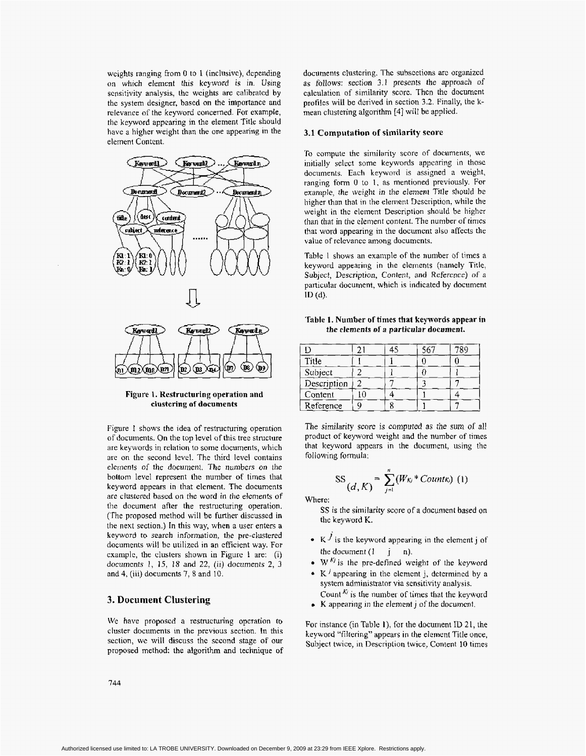<span id="page-1-0"></span>wcights ranging from 0 to 1 (inclusivc), dcpending on which element this keyword *is* in. Using scnsitivity analysis, thc weights arc calibratcd by thc system designer, based on the importance and relevance of the keyword concerned. For example, the keyword appearjng in the element Title should have **a** higher weight than the one appearing in the element Content.



Figure **1. Restructuring operation and clustering of documents** 

Figure I shows the idea of restructuring operation of documents. On the top level of this tree structure are keywords in relation to some documents, which are on the second level. The third level contains elements of the document. The *numbers* on the bottom level represent the number of times that keyword appears in that element. The documents are clustered based on the word **in** the elements **of**  the document after the restructuring operation. (The proposed method will be further discussed in the next section.) In this way, when a user enters a keyword **to** search information, the pre-clustered documents will be utilized in an efficient way. For cxamplc, the clustcrs shown in Figurc **1** are: (i) *documents 1,* 15, *18* and 22, (ii) documents **2,** 3 and 4, (iii) documents 7, 8 and 10.

## **3. Document Clustering**

We have proposed **a** restructuring operation **to**  cluster documents **in** the previous section. In this section, **we** will discuss the second stage of our proposed method: the algorithm and technique of documents clustering. The subsections arc organized as follows: section 3.1 presents the approach of calculation of similarity score. Thcn thc documcnt profiles will be derived in section 3.2. Finally, the kmean clustering algorithm [4] will be applied.

#### **3.1 Computation of similarity score**

To compute the similarity score of documents, we initially selcct some keywords appcaring in those documents. Each keyword is assigned a weight, ranging form 0 to I, as mentioned previously. For example, *the* weight in the element Title should be higher than that in the element Description, while the weight in the element Description should be higher than that in the element content. The number of times that word appearing in the document also affects the value of rclevancc among documcnts.

Table I shows an example of the number of times a keyword appearing in the elements (namely Title, *Subject,* Description, Content, and Reference) of *a*  particular document, which **is** indicated by document ID (d).

**Table 1. Number of times that keywords** appear in **the** elements **of** *a* particular **document.** 

|             |  | 789 |
|-------------|--|-----|
| Title       |  |     |
| Subject     |  |     |
| Description |  |     |
| Content     |  |     |
| Reference   |  |     |

**The** similarity **score is** computed *as the sum of* all product of keyword weight and the number of times that keyword appears in the document, using the following formula:

$$
SS\left(d,K\right) = \sum_{j=1}^{n} (W_{Kj} * Count_{Kj}) \ (1)
$$

Where:

**SS** is the similarity score of **a** document based on the keyword **K.** 

- $\cdot$  K  $^j$  is the keyword appearing in the element j of the document  $(1 \quad i \quad n)$ .
- $\bullet$  W<sup>Kj</sup> is the pre-defined weight of the keyword
- $K^{j}$  appearing in the element j, determined by a system administrator via sensitivity analysis. Count *Ki* is the number of **times** that the keyword
- **K** appearing in the **element** j of the documcnt.

For instance (in Table **I),** for the document ID 21, the keyword "fikring" appears in the element Title once, Subject twice, in Description twice, Content 10 times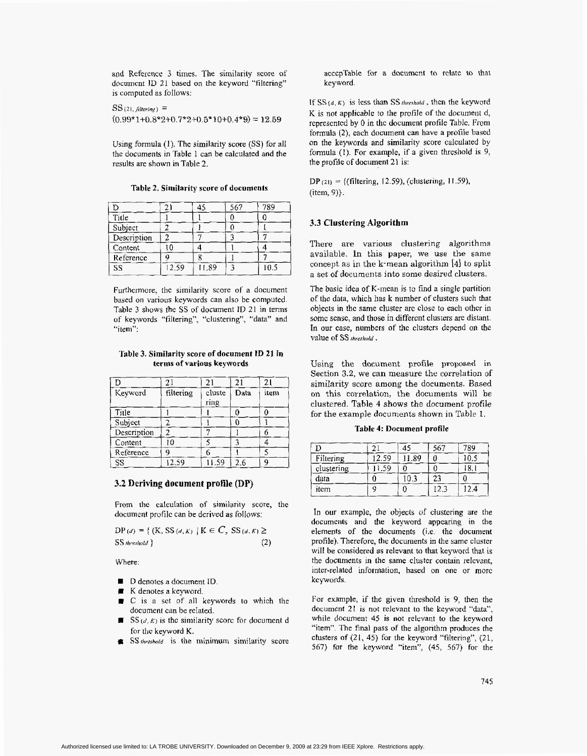and Rcfercncc 3 times. The similarity score of document ID 21 based on the keyword "filtering" is computed as follows:

 $SS(21,$  *Altering*  $)$  =  $(0.99*1+0.8*2+0.7*2+0.5*10+0.4*9)=12.59$ 

Using formula (1). The similarity score **(SS)** for a11 the documents in [Table 1](#page-1-0) can be calculated and the results are shown **in** Table 2.

| n           |       |       | 567 | 789  |
|-------------|-------|-------|-----|------|
| Title       |       |       |     |      |
| Subject     |       |       |     |      |
| Description |       |       |     |      |
| Content     | ۱n    |       |     |      |
| Reference   |       |       |     |      |
| SS          | 12.59 | 11.89 |     | 10.5 |

**Table 2. Similarity score of documents** 

Furthermore, the similarity score of **a** document based on various keywords can also be computed. Table **3** shows the SS of document ID 21 in terms of keywords "filtering", "clustering", "data" and "item":

**Table 3. Similarity score of document 1D 21 in terms of various keywords** 

|             | $\overline{2}$ . | 21             | 21   | 21   |
|-------------|------------------|----------------|------|------|
| Keyword     | filtering        | cluste<br>ring | Data | item |
|             |                  |                |      |      |
| Title       |                  |                |      |      |
| Subject     |                  |                |      |      |
| Description | 2                |                |      |      |
| Content     | 10               |                |      |      |
| Reference   | 9                |                |      |      |
| SS          | 12.59            | 11.59          | 2.6  | q    |

#### **3.2 Deriving document profile (DP)**

From the calculation of **similarity** score, the document profile can be derived as follows:

 $DP(d) = \{ (K, SS(d, K) | K \in C, SS(d, K) \geq 0 \}$  $SS$  *hreshold*  $}$  (2)

Where:

- D denotes a document ID.
- K denotes a keyword.
- C **IS** a set of **all** keywords to which the document can be related.
- $SS$  (*d, K*) is the similarity score for document d for the keyword K.
- **SS** threshold is the minimum similarity score

accepTable for a document to relate to that **key** word.

If  $SS(d, K)$  is less than SS *threshold*, then the keyword K **is** not applicable to the profile of the document d, represcntcd by 0 in thc document profilc Tablc. From formula **(2>,** each document can have a profile based on the keywords and similarity score calculated by formula (1). For example, if a given threshold is 9, the **profile** of document 21 is:

DP (21) = ((filtering, I2.59), (clustering, **I** I .59), (item, 9)).

### **3.3 CIustering Algorithm**

There **are** various clustering algorithms available. In this paper, **we** use the same concept as in the k-mean algorithm **[4)** to split a set **of** documents into some desired clusters.

The basic idea of K-mean is to find **a** single partition of the data, which has **k** number of clusters such that objects in thc same cluster arc close to each other in some sense, and those in different clusters are distant. In our case, numbers of thc clusters depend **011** the Value **Of** ss *threshold* .

Using the document **profile proposed in**  Section **3.2, we** can measure the correlation of similarity score among the documents. Based on this correlation, the documents will be clustered. Table **4** shows the document profile for the example documents shown in [Table](#page-1-0) **1.** 

**Table 4: Document profile** 

|            | ◠    | 45   | 567 | 789 |
|------------|------|------|-----|-----|
| Filtering  | 2.59 | 1.89 |     |     |
| clustering | .59  |      |     | o   |
| data       |      | 0.3  | 23  |     |
| item       |      |      |     | 2.4 |

In **our** example, the objects of clustering **are** the documents **and** the keyword appearing in the elements of the documents (i.e. the document profile). Therefore, the documents in the same cluster will **be** considered as relevant to that keyword that is the documents **in** the same cluster contain relcvant, intcr-related information, based on one or morc kc ywords.

For example, if the given threshold is 9, then the document 21 is not relevant to **the** keyword "data", while document 45 **is** not relevant to the keyword "item". The final pass of the algorithm produces the clusters of (21, 45) for the keyword "filtering", (21, *567)* for the keyword "item", **(45,** 567) for the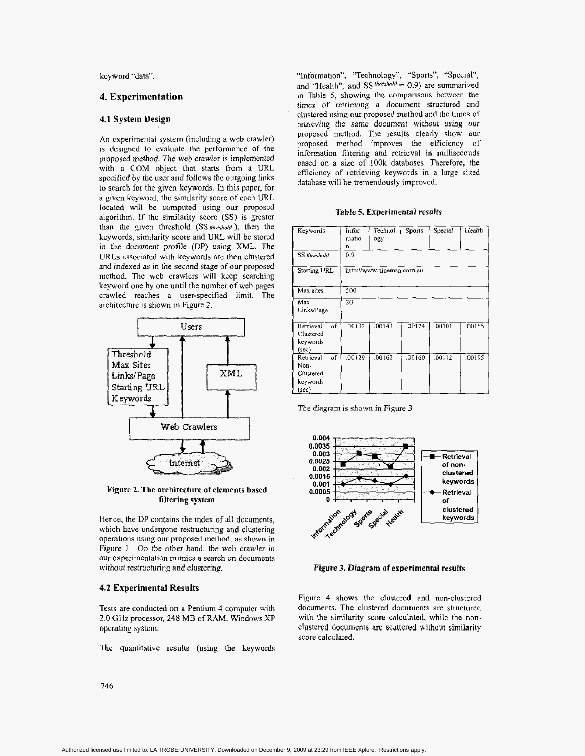kcyword "data"

#### **4. Experimentation**

#### **4.1 System Design**

An experimental system (including **a** web crawler) is designed to evaluate the performance of the proposed *method.* The web crawler is implemented with a COM object that starts from a URL specified by the user and follows the outgoing links to scarch for the givcn kcywords. In this paper, for a givcn kcyword, the similarity score of cach LRL located will bc computed using our proposcd algorithm. If **the** similarity score (SS) is greater than the given threshold (SS *threshold*), then the keywords, similarity score and URL will be stored in the document profile (DP) using XML. The WRLs associated with keywords are then clustered and indexed **as** in the second stage **of** our proposed method. The web crawlers will keep searching keyword one by one until the number of web pages crawled reaches a user-specified limit. The architecture is shown in Figure **2.**  Experimentation<br>
System Design<br>
System Design<br>
System Design<br>
experimental system (including a web crawler)<br>
clustered using our<br>
certic-wing the same control to vehicle by the starting of the starting of<br>
a COM object tha



**Figure** *2.* **The architecture of elements based filtering system** 

Hence, the DP contains the **index** of all documents, which have undergone restructuring and clustering operations using our proposed method, as shown in [Figure 1.](#page-1-0) *On* the other hand, the web crawler in our experimentation mimics a search on documents without restructuring and clustering.

### **4.2 ExperimentaI Results**

Tests **are** conducted on a Pentium 4 computer with 2.0 GHz processor, **248** MB of RAM, Windows **XP**  operating system.

The quantitative **results (using** the keywords

"Information", "Technology", "Sports", "Special", and "Health"; and *SS<sup>threshold* = 0.9) are summarized</sup> in Table *5,* showing the comparisons between the *times* of retrieving a document structured and clustcred using our proposed method and the times of retrieving thc *same* documcnt without *using our*  proposed method. The results clearly show our proposed method improves the eficiency of information filtering and retrieval **in** milliseconds based on a size of **lOOk** databases. Therefore, the efficiency of retrieving keywords in **a** large sized database will be tremendously improved.

#### **Table** *5. Experimental results*

| Keywords                                                  | Infor<br>matio<br>n | Technol<br>ogy            | Sports | Special | Health |
|-----------------------------------------------------------|---------------------|---------------------------|--------|---------|--------|
| <b>SS</b> threshold                                       | 0.9                 |                           |        |         |        |
| <b>Starting URL</b>                                       |                     | http://www.ninemsn.com.au |        |         |        |
| Max sites                                                 | 500                 |                           |        |         |        |
| Max<br>Links/Page                                         | 20                  |                           |        |         |        |
| of<br>Retrieval<br>Clustered<br>keywords<br>$(\sec)$      | .00102              | .00143                    | 00124  | .00101  | .00155 |
| of<br>Retrieval<br>Non-<br>Clustered<br>keywords<br>(sec) | .00129              | .00162                    | 00160  | .00112  | .00195 |

The diagram is shown in Figure 3



**Figure 3. Diagram of experimental results** 

[Figure](#page-4-0) **4** shows the clustered and non-clustered documents. The clustered documents are structured with the similarity score calculated, while the nonclustered documents are scattered without similarity score calculated.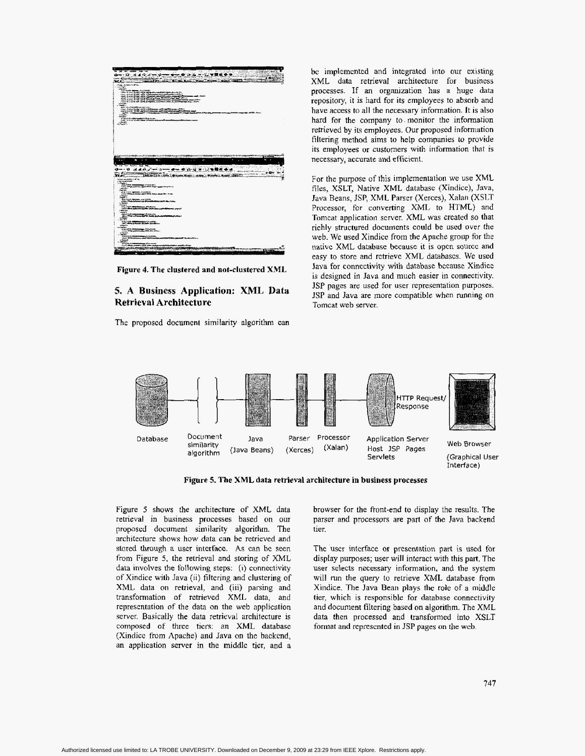<span id="page-4-0"></span>

**Figure 4. The clustered and not-clustered XML** 

**5. A Business Application: XML Data Retrieval Architecture** 

The proposed document similarity algorithm can

bc implemented and integrated into our existing XML data retrieval architecture **for** business processes. If an organization has a huge data repository, it **is** hard for its employees to absorb and have access to all the necessary information. It **is** also hard for the company to. monitor the information retrieved by its employees. Our proposed information filtering method aims to help companies *to* provide its employees or customers with information that is necessary, accurate and efficient.

For the purpose of this implementation we use XML files, XSLT, Native **XML** database (Xindice), Java, Java Beans, **JSP,** XML Parser (Xerces), Xalan (XSLT Processor, for converting XML to HTML) and Tomcat application server. XML was created so that richly structured documents could be **used** over the web. We used Xindicc from the Apache group for the native XML database because **it is** open source and easy to store and retrieve XML databascs. We used lava for conncctivity with database bccause Xindice is designed in Java and much easier in connectivity. JSP pages are used for user representation purposes. JSP and Java are more compatible when running on Tomcat web server.



**Figure 5. The XML data retrieval architecture in business processes** 

Figure *5* shows the architecture of XML data retrieval in business processes based on our proposed document similarity algorithm. The architecture shows how data can be retrieved and stared through a user interface. **As** can be seen from Figure *5,* **the** retrieval and storing of XML data involves the following steps: **(I)** connectivity of Xindice **with** Java (ii) filtering and clustering of XML data on retrieval, and (iii) parsing and transformation of retrieved XML data, and representation of the data on the web application server. Basicafly the data retrieval architecture is composed *of* three tiers: an XML database (Xindice from Apache) and Java on the backend, an application server in the middle tier, and a

browser for the front-end to display the results. The parser and processors **are** part **of** the Java backend tier.

The user interface or presentation **part** is used **far**  dispiay purposes; user will interact with this part, The user selects necessary information, and the **system will** run the query to retrieve **XML** database from Xindice. The Java Bean plays **the** role of a middle tier, which is responsible for database connectivity and document filtering based on algorithm. The XML data then processed and transformed into XSLT format and represcnted in JSP **pages** on the wcb.